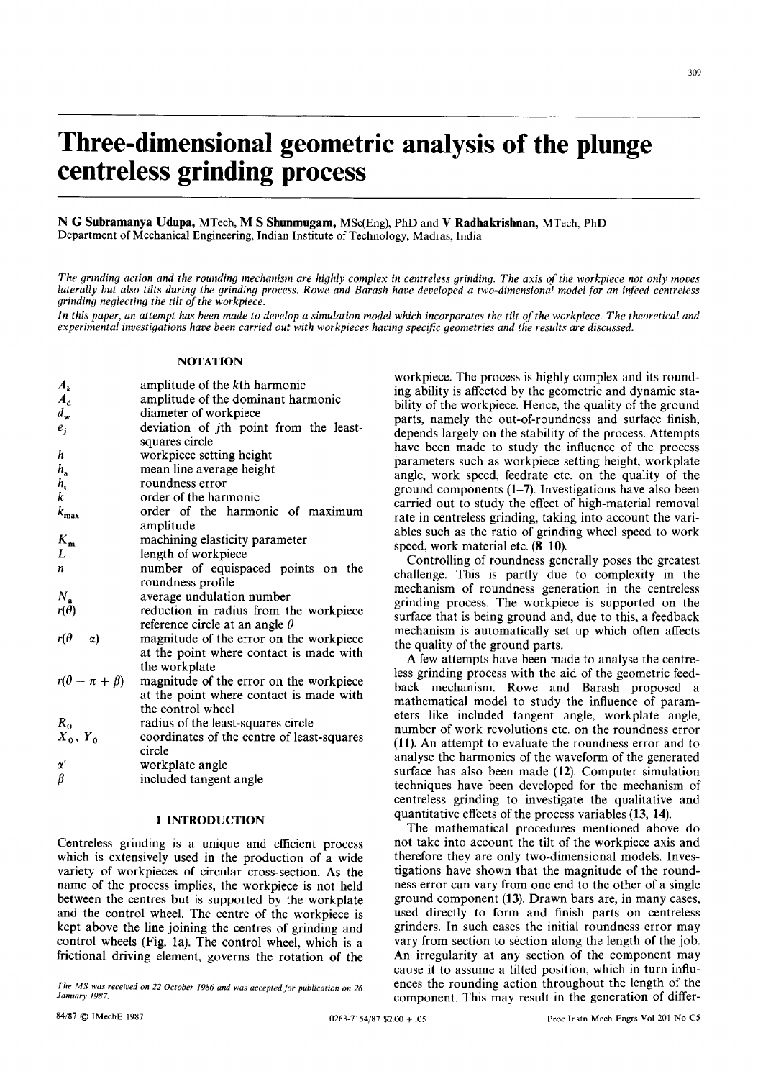# **Three-dimensional geometric analysis of the plunge centreless grinding process Nrimer-dimensional geometric analysis of the plunge<br>
<b>Centreless grinding process**<br>
N G Subramanya Udupa, MTech, M S Shunmugam, MSo(Eng), PhD and **V Radhakrishnan**, MTech, PhD<br>
Department of Mechanical Engineering, Indian *zy zy <i>zysykuppedia <i>zy zych, PhD*<br>*z Akrishnan, MTech, PhD*

Department **of**  Mechanical Engineering, Indian Institute of Technology, Madras, India

*The grinding action and the rounding mechanism are highly complex in centreless grinding.*  **The axis of the workpiece not only moves**<br>The axis of the workpiece not only moves<br>dimensional model for an infeed centreless *laterally but also tilts during the grinding process. Rowe and Barash have developed a two-dimensional model for an infeed centreless grinding neglecting the tilt* of *the workpiece.*  Department of Mechanical Engineering, Indian Institute of Technology, Madras, India<br>*The grinding action and the rounding mechanism are highly complex in centreless grinding. The axis of the workpiece not only moves<br>latera* 

*experimental investigations have been carried out with workpieces having specijc geometries and the results are discussed.* 

#### **NOTATION**

| $A_k$                     | amplitude of the kth harmonic              |
|---------------------------|--------------------------------------------|
| $A_{d}$                   | amplitude of the dominant harmonic         |
| $d_{\mathbf{w}}$          | diameter of workpiece                      |
| $e_i$                     | deviation of jth point from the least-     |
|                           | squares circle                             |
| h                         | workpiece setting height                   |
| $h_{\rm a}$               | mean line average height                   |
| $h_{\rm t}$               | roundness error                            |
| k                         | order of the harmonic                      |
| $k_{\rm max}$             | order of the harmonic of maximum           |
|                           | amplitude                                  |
| $K_{m}$                   | machining elasticity parameter             |
| L                         | length of workpiece                        |
| n                         | number of equispaced points on the         |
|                           | roundness profile                          |
| $N_{\rm a}$               | average undulation number                  |
| $r(\theta)$               | reduction in radius from the workpiece     |
|                           | reference circle at an angle $\theta$      |
| $r(\theta - \alpha)$      | magnitude of the error on the workpiece    |
|                           | at the point where contact is made with    |
|                           | the workplate                              |
| $r(\theta - \pi + \beta)$ | magnitude of the error on the workpiece    |
|                           | at the point where contact is made with    |
|                           | the control wheel                          |
| $R_0$                     | radius of the least-squares circle         |
| $X_0, Y_0$                | coordinates of the centre of least-squares |
|                           | circle                                     |
|                           |                                            |
| $\alpha'$<br>β            | workplate angle                            |
|                           | included tangent angle                     |

#### **1 INTRODUCTION**

Centreless grinding is a unique and efficient process which is extensively used in the production of a wide variety of workpieces of circular cross-section. As the name of the process implies, the workpiece is not held between the centres but is supported by the workplate and the control wheel. The centre of the workpiece is kept above the line joining the centres of grinding and control wheels (Fig. la). The control wheel, which **is** a frictional driving element, governs the rotation of the

The MS was received on 22 October 1986 and was accepted for publication on 26 January 1987.

workpiece. The process is highly complex and its rounding ability is affected by the geometric and dynamic stability of the workpiece. Hence, the quality of the ground parts, namely the out-of-roundness and surface finish, depends largely on the stability of the process. Attempts have been made to study the influence of the process parameters such as workpiece setting height, workplate angle, work speed, feedrate etc. on the quality of the ground components (1–7). Investigations have also been ing ability is affected by the geometric and dynamic stability of the workpiece. Hence, the quality of the ground parts, namely the out-of-roundness and surface finish, depends largely on the stability of the process. Atte carried out to study the effect of high-material removal rate in centreless grinding, taking into account the variables such as the ratio of grinding wheel speed to work speed, work material etc. **(8–10)**.

Controlling of roundness generally poses the greatest challenge. This is partly due to complexity in the mechanism of roundness generation in the centreless grinding process. The workpiece is supported on the surface that is being ground and, due to this, a feedback mechanism is automatically set up which often affects the quality of the ground parts.

A few attempts have been made to analyse the centreless grinding process with the aid of the geometric feedback mechanism. Rowe and Barash proposed a mathematical model to study the influence of parameters like included tangent angle, workplate angle, number of work revolutions etc. on the roundness error **(11).** An attempt to evaluate the roundness error and to analyse the harmonics of the waveform **of** the generated surface has also been made **(12).** Computer simulation techniques have been developed for the mechanism of centreless grinding to investigate the qualitative and quantitative effects of the process variables **(13, 14).** 

Exercised on 22 October 1986 and was accepted for publication on 26<br>
Enter MS was received on 22 October 1986 and was accepted for publication on 26<br>
Entergy 1987. The mathematical procedures mentioned above do not take into account the tilt of the workpiece axis and therefore they are only two-dimensional models. Investigations have shown that the magnitude of the roundness error can vary from one end to the other of a single ground component **(13).** Drawn bars are, in many cases, used directly to form and finish parts on centreless grinders. In such cases the initial roundness error may vary from section to section along **the** length of the job. An irregularity at any section of the component may cause it to assume a tilted position, which in turn influences the rounding action throughout the length of the component. This may result in the generation of differ-CONTrol wheels (Fig. 1a). The control wheel, which is a<br>
frictional driving element, governs the rotation of the<br>  $\frac{1}{2}$ <br>  $\frac{1}{2}$ <br>  $\frac{1}{2}$ <br>  $\frac{1}{2}$ <br>  $\frac{1}{2}$ <br>  $\frac{1}{2}$ <br>  $\frac{1}{2}$ <br>  $\frac{1}{2}$ <br>  $\frac{1}{2}$ <br>  $\frac{1}{2}$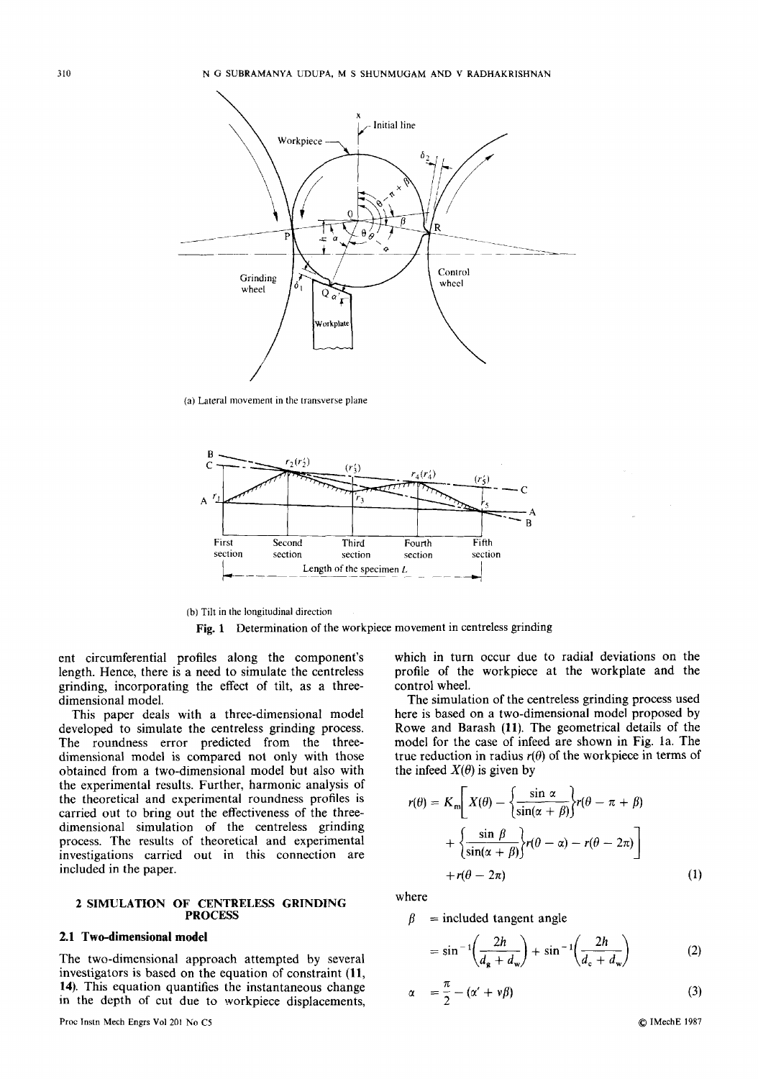

**(a) Lateral movement in the transverse plane** 



(h) **Tilt in the longitudinal direction** 

**Fig. 1** Determination of the workpiece movement in centreless grinding

ent circumferential profiles along the component's length. Hence, there is a need to simulate the centreless grinding, incorporating the effect of tilt, as a threedimensional model.

This paper deals with a three-dimensional model developed to simulate the centreless grinding process. The roundness error predicted from the threedimensional model is compared not only with those obtained from a two-dimensional model but also with the experimental results. Further, harmonic analysis of the theoretical and experimental roundness profiles is carried out to bring out the effectiveness of the threedimensional simulation of the centreless grinding process. The results of theoretical and experimental investigations carried **out** in this connection are included in the paper.

#### **2 SIMULATION OF CENTRELESS GRINDING PROCESS**

### **2.1 Two-dimensional model**

The two-dimensional approach attempted by several investigators **is** based on the equation of constraint **(11, 14).** This equation quantifies the instantaneous change in the depth **of** cut due to workpiece displacements,

which in turn occur due to radial deviations on the profile of the workpiece at the workplate and the control wheel.

The simulation of the centreless grinding process used here is based on a two-dimensional model proposed by Rowe and Barash **(11).** The geometrical details of the model for the case of infeed are shown in Fig. 1a. The true reduction in radius  $r(\theta)$  of the workpiece in terms of which in rule occur due to faddal deviations on the<br>profile of the workpiece at the workplate and the<br>control wheel.<br>The simulation of the centreless grinding process used<br>here is based on a two-dimensional model proposed the infeed  $X(\theta)$  is given by

\n The given 
$$
\alpha
$$
 is the total deviations on the  $\alpha$  is the  $\alpha$  of the  $\alpha$  is the  $\alpha$  of the  $\alpha$  is the  $\alpha$  of the  $\alpha$  is the  $\alpha$  of the  $\alpha$  is the  $\alpha$  of the  $\alpha$  is the  $\alpha$  of the  $\alpha$  is the  $\alpha$  of the  $\alpha$  is the  $\alpha$  of the  $\alpha$  of the  $\alpha$  of the  $\alpha$  of the  $\alpha$  of the  $\alpha$  of the  $\alpha$  of the  $\alpha$  of the  $\alpha$  of the  $\alpha$  of the  $\alpha$  of the  $\alpha$  of the  $\alpha$  of the  $\alpha$  of the  $\alpha$  of the  $\alpha$  of the  $\alpha$  of the  $\alpha$  of the  $\alpha$  of the  $\alpha$  of the  $\alpha$  of the  $\alpha$  of the  $\alpha$  of the  $\alpha$  of the  $\alpha$  of the  $\alpha$  of the  $\alpha$  of the  $\alpha$  of the  $\alpha$  of the  $\alpha$  of the  $\alpha$  of the  $\alpha$  of the  $\alpha$  of the  $\alpha$  of the  $\alpha$  of the  $\alpha$  of the  $\alpha$  of the  $\alpha$  of the  $\alpha$  of the  $\alpha$  of the  $\alpha$  of the  $\alpha$  of the  $\alpha$  of the  $\alpha$  of the  $\alpha$  of the  $\alpha$  of the  $\alpha$  of the  $\alpha$  of the  $\alpha$  of the  $\alpha$  of the  $\alpha$  of the  $\alpha$  of the  $\alpha$  of the  $\alpha$  of the  $\alpha$  of the  $\alpha$  of the  $\alpha$  of the  $\alpha$  of the  $\alpha$  of the  $\alpha$  of the  $\alpha$  of the  $\alpha$  of the  $\alpha$  of the  $\alpha$  of the  $\alpha$  of the  $\alpha$  of the  $\alpha$  of the  $\alpha$  of

where

tangent angle

$$
= \sin^{-1}\!\left(\frac{2h}{d_{\rm s} + d_{\rm w}}\right) + \sin^{-1}\!\left(\frac{2h}{d_{\rm c} + d_{\rm w}}\right) \tag{2}
$$

$$
\alpha = \frac{\pi}{2} - (\alpha' + \nu \beta) \tag{3}
$$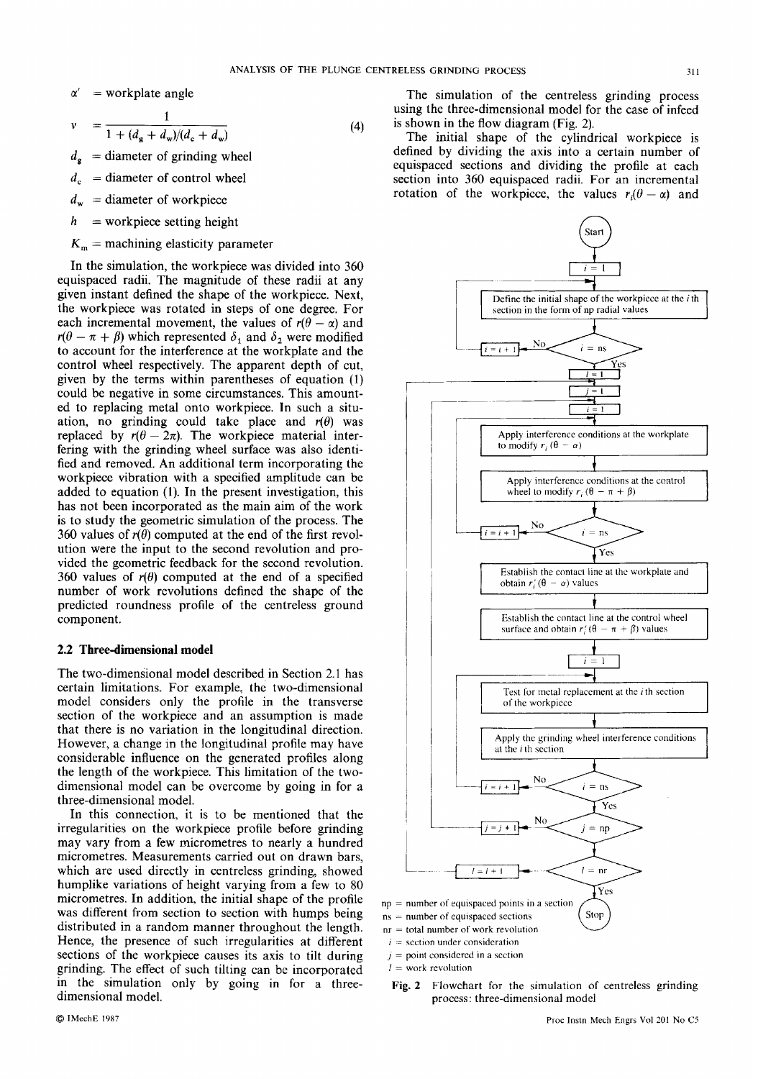### $\alpha'$  = workplate angle

$$
v = \frac{1}{1 + (d_{\mathbf{g}} + d_{\mathbf{w}})/(d_{\mathbf{c}} + d_{\mathbf{w}})}
$$
(4)

- $d_{g}$  = diameter of grinding
- $d<sub>c</sub>$  = diameter of control wheel
- $d_w$  = diameter of workpiece
- $h$  = workpiece setting height
- $K_m$  = machining elasticity parameter

In the simulation, the workpiece was divided into **360**  equispaced radii. The magnitude of these radii at any given instant defined the shape of the workpiece. Next, the workpiece was rotated in steps of one degree. For each incremental movement, the values of  $r(\theta - \alpha)$  and  $r(\theta - \pi + \beta)$  which represented  $\delta_1$  and  $\delta_2$  were modified to account for the interference at the workplate and the control wheel respectively. The apparent depth of cut, given by the terms within parentheses of equation (1) could be negative in some circumstances. This amounted to replacing metal onto workpiece. In such a situation, no grinding could take place and  $r(\theta)$  was replaced by  $r(\theta - 2\pi)$ . The workpiece material interfering with the grinding wheel surface was also identified and removed. An additional term incorporating the workpiece vibration with a specified amplitude can be added to equation **(1).** In the present investigation, this has not been incorporated as the main aim of the work is to study the geometric simulation of the process. The 360 values of  $r(\theta)$  computed at the end of the first revolution were the input to the second revolution and provided the geometric feedback for the second revolution. 360 values of  $r(\theta)$  computed at the end of a specified number of work revolutions defined the shape of the predicted roundness profile of the centreless ground component.

#### **2.2 Three-dimensional model**

The two-dimensional model described in Section 2.1 has certain limitations. For example, the two-dimensional model considers only the profile in the transverse section of the workpiece and an assumption is made that there is no variation in the longitudinal direction. However, a change in the longitudinal profile may have considerable influence on the generated profiles along the length of the workpiece. This limitation of the twodimensional model can be overcome by going in for a three-dimensional model.

In this connection, it is to be mentioned that the irregularities on the workpiece profile before grinding may vary from a few micrometres to nearly a hundred micrometres. Measurements carried out on drawn bars, which are used directly in centreless grinding, showed humplike variations of height varying from a few to 80 micrometres. In addition, the initial shape of the profile was different from section to section with humps being distributed in a random manner throughout the length. Hence, the presence of such irregularities at different sections of the workpiece causes its axis to tilt during grinding. The effect of such tilting can be incorporated in the simulation only by going in for a threedimensional model.

where **zy** and the centreless of the centreless are all the simulation of the centreless grinding process using the three-dimensional model for the case of infeed (4) is shown in the flow diagram (Fig. 2).<br>The initial shap The simulation of the centreless grinding process using the three-dimensional model for the case of infeed is shown in the flow diagram (Fig. 2).

**1**<br> **1 (d) 1 (d) 1 (d) (d) (d) (d) (d) (d) (d) (d) (d) (d) (d) (d) (d) (d) (d) (d) (d) (d) (d) (d) (d) (d) (d) (d) (d) (d) (d) (d) (d) (d) (d) (d)** The initial shape of the cylindrical workpiece is defined by dividing the axis into a certain number of equispaced sections and dividing the profile at each section into **360** equispaced radii. For an incremental section into 360 equispaced radii. For an incremental rotation of the workpicce, the values  $r_i(\theta - \alpha)$  and



process : three-dimensional model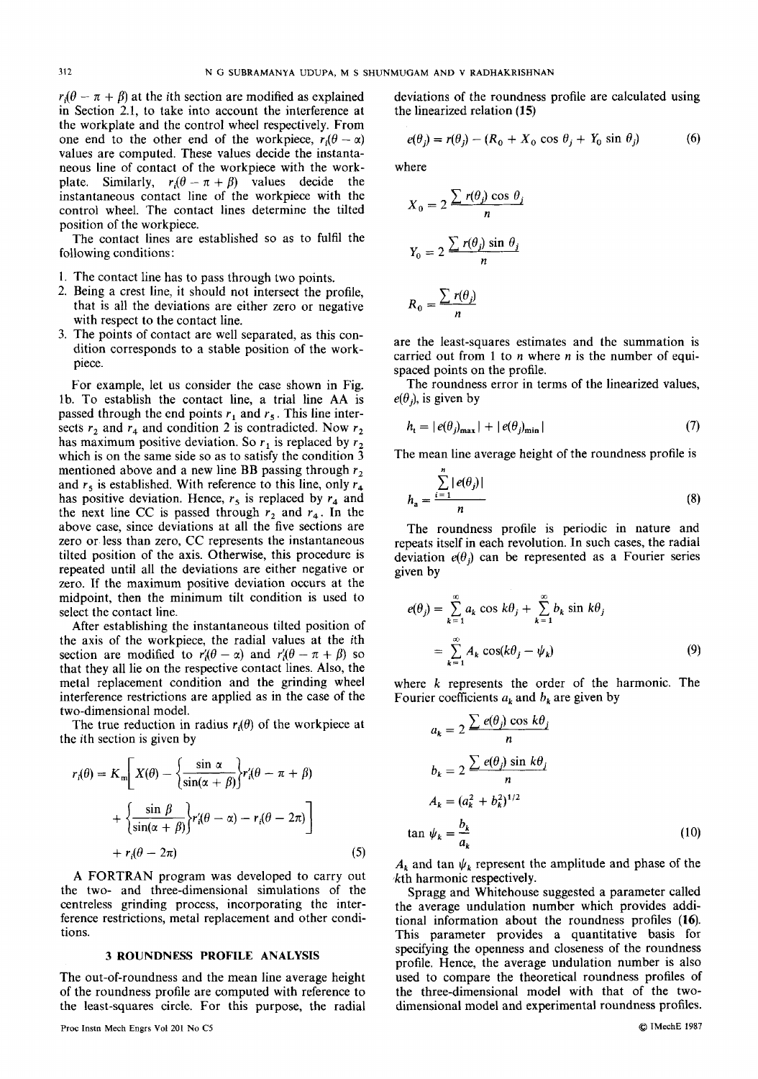<sup>312</sup><br>
<sup>312</sup><br>
<sup>312</sup><br>
<sup>312</sup><br>
<sup>312</sup><br>
<sup>312</sup><br>
<sup>312</sup><br>
<sup>312</sup><br>
<sup>312</sup><br>
<sup>312</sup><br>
<sup>312</sup><br>
<sup>312</sup><br>
<sup>312</sup><br>
<sup>312</sup><br> *P<sub>i</sub>*( $\theta - \pi + \beta$ ) at the *i*th section are modified as explained deviations of the roundness profile are calculated using<br> in Section **2.1,** to take into account the interference at the workplate and the control wheel respectively. From neous line of contact of the workpiece with the work-<br>plate. Similarly,  $r_i(\theta - \pi + \beta)$  values decide the values are computed. These values decide the instantaneous line of contact of the workpiece with the workinstantaneous contact line of the workpiece with the the workplate and the control wheel respectively. From<br>one end to the other end of the workpiece,  $r_i(\theta - \alpha)$ control wheel. The contact lines determine the tilted position of the workpiece.

The contact lines are established so as to fulfil the following conditions :

- 1. The contact line has to pass through two points.
- 2. Being a crest line, it should not intersect the profile, that is all the deviations are either zero or negative with respect to the contact line.
- **3.** The points of contact are well separated, as this condition corresponds to a stable position of the workpiece.

For example, let **us** consider the case shown in Fig. lb. To establish the contact line, a trial line AA is passed through the end points  $r_1$  and  $r_5$ . This line intersects  $r_2$  and  $r_4$  and condition 2 is contradicted. Now  $r_2$ has maximum positive deviation. So  $r_1$  is replaced by  $r_2$ which is on the same side so as to satisfy the condition **3**  mentioned above and a new line BB passing through  $r<sub>2</sub>$ and  $r_5$  is established. With reference to this line, only  $r_4$ has positive deviation. Hence,  $r_5$  is replaced by  $r_4$  and the next line CC is passed through  $r_2$  and  $r_4$ . In the above case, since deviations at all the five sections are zero or less than zero, CC represents the instantaneous tilted position of the axis. Otherwise, this procedure is repeated until all the deviations are either negative or zero. If the maximum positive deviation occurs at the midpoint, then the minimum tilt condition is used to select the contact line. passed through the end points r, and r, This line inter-<br>sects r, and r, and condition 2 is contradicted. Now r,<br>the mean ince average height of the roundness profile is<br>which is on the same side so as to satisfy the cond

After establishing the instantaneous tilted position of the axis of the workpiece, the radial values at the *i*th section are modified to  $r'_{\theta}(\theta - \alpha)$  and  $r'_{\theta}(\theta - \pi + \beta)$  so that they all lie on the respective contact lines. Also, the metal replacement condition and the grinding wheel interference restrictions are applied as in the case of the two-dimensional model.

The true reduction in radius  $r_i(\theta)$  of the workpiece at the ith section is given by

$$
r_i(\theta) = K_m \left[ X(\theta) - \left\{ \frac{\sin \alpha}{\sin(\alpha + \beta)} \right\} r'_i(\theta - \pi + \beta)
$$
  
+ 
$$
\left\{ \frac{\sin \beta}{\sin(\alpha + \beta)} \right\} r'_i(\theta - \alpha) - r_i(\theta - 2\pi)
$$
  
+ 
$$
r_i(\theta - 2\pi)
$$
 (5)

**A** FORTRAN program was developed to carry out the two- and three-dimensional simulations of the centreless grinding process, incorporating the interference restrictions, metal replacement and other conditions.

#### **3 ROUNDNESS PROFILE ANALYSIS**

The out-of-roundness and the mean line average height of the roundness profile are computed with reference to the least-squares circle. For this purpose, the radial

S SHUNMUGAM AND V RADHAKRISHNAN<br>
addeviations of the roundness profile are calculated using<br>
the linearized relation (15)<br>
(a)<br>  $e(\theta_j) = r(\theta_j) - (R_0 + X_0 \cos \theta_j + Y_0 \sin \theta_j)$  (6)<br>
where<br>
the subset of  $\sum_{i} r(\theta_i) \cos \theta_i$ deviations of the roundness profile are calculated using<br>the linearized relation (15) INGAM AND V RADHAKRISHNAN<br>deviations of the roundness profile are calculated using<br>the linearized relation (15)<br> $e(\theta_1) = r(\theta_2) - (R_2 + X_2 \cos \theta_1 + Y_2 \sin \theta_2)$  (6)

$$
e(\theta_j) = r(\theta_j) - (R_0 + X_0 \cos \theta_j + Y_0 \sin \theta_j)
$$
 (6)

where

$$
e(\theta_j) = r(\theta_j) - (R_0 + X_0 \cos \theta_j + Y_0 \sin \theta_j)
$$
(6)  
here  

$$
X_0 = 2 \frac{\sum r(\theta_j) \cos \theta_j}{n}
$$

$$
Y_0 = 2 \frac{\sum r(\theta_j) \sin \theta_j}{n}
$$

$$
R_0 = \frac{\sum r(\theta_j)}{n}
$$

are the least-squares estimates and the summation is carried out from 1 to *n* where *n* is the number of equispaced points on the profile.

The roundness error in terms of the linearized values,  $e(\theta_i)$ , is given by

$$
h_{t} = |e(\theta_{j})_{\max}| + |e(\theta_{j})_{\min}| \tag{7}
$$

The mean line average height of the roundness profile is

$$
a_{\mathbf{a}} = \frac{\sum_{i=1}^{n} |e(\theta_j)|}{n}
$$
 (8)

The roundness profile is periodic in nature and repeats itself in each revolution. In such cases, the radial deviation  $e(\theta_i)$  can be represented as a Fourier series given by

$$
e(\theta_j) = \sum_{k=1}^{\infty} a_k \cos k\theta_j + \sum_{k=1}^{\infty} b_k \sin k\theta_j
$$
  
= 
$$
\sum_{k=1}^{\infty} A_k \cos(k\theta_j - \psi_k)
$$
 (9)

where *k* represents the order of the harmonic. The Fourier coefficients  $a_k$  and  $b_k$  are given by

$$
a_k = 2 \frac{\sum e(\theta_j) \cos k\theta_j}{n}
$$
  
\n
$$
b_k = 2 \frac{\sum e(\theta_j) \sin k\theta_j}{n}
$$
  
\n
$$
A_k = (a_k^2 + b_k^2)^{1/2}
$$
  
\n
$$
\tan \psi_k = \frac{b_k}{a_k}
$$
 (10)

 $A_k$  and tan  $\psi_k$  represent the amplitude and phase of the kth harmonic respectively.

Spragg and Whitehouse suggested a parameter called the average undulation number which provides additional information about the roundness profiles **(16).**  This parameter provides a quantitative basis for specifying the openness and closeness of the roundness profile. Hence, the average undulation number is also used to compare the theoretical roundness profiles of the three-dimensional model with that of the twodimensional model and experimental roundness profiles.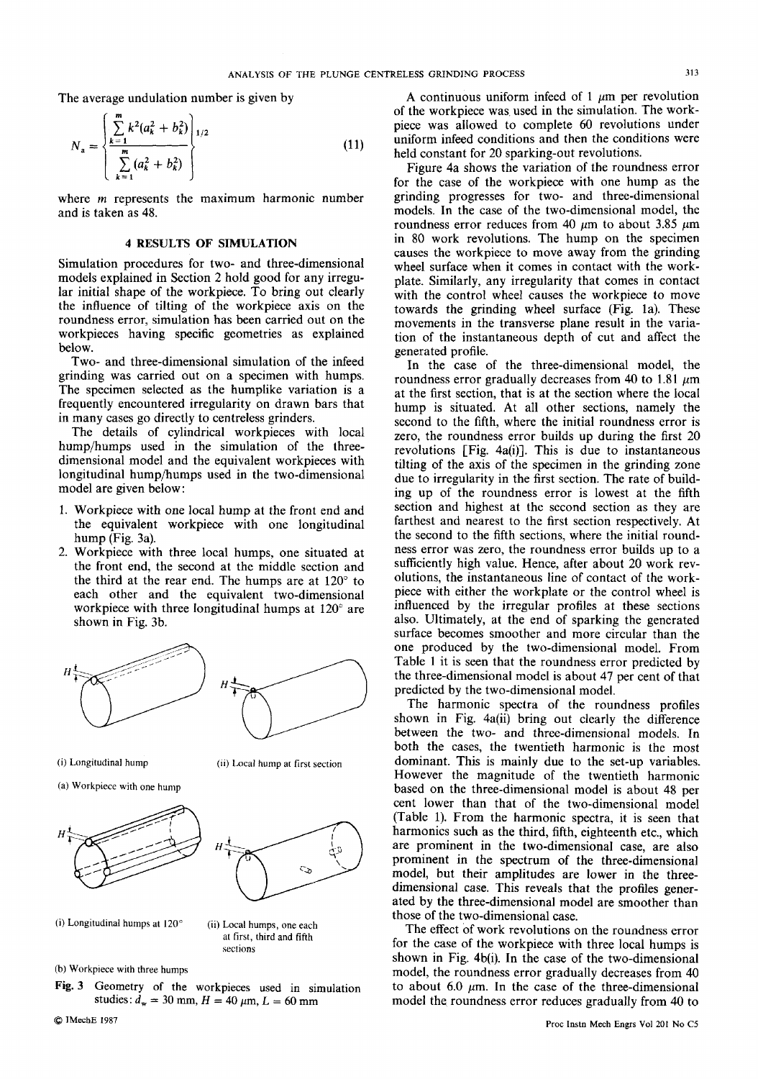The average undulation number is given by

$$
N_a = \begin{cases} \sum_{k=1}^{m} k^2 (a_k^2 + b_k^2) \\ \sum_{k=1}^{m} (a_k^2 + b_k^2) \end{cases}
$$
 (11)

where m represents and is taken as

#### **4 RESULTS**

Simulation procedures for two- and three-dimensional models explained in Section 2 hold good for any irregular initial shape of the workpiece. To bring out clearly the influence of tilting of the workpiece axis on the roundness error, simulation has been carried out on the workpieces having specific geometries as explained below.

Two- and three-dimensional simulation of the infeed grinding was carried out on a specimen with humps. The specimen selected as the humplike variation is a frequently encountered irregularity on drawn bars that in many cases go directly to centreless grinders.

The details of cylindrical workpieces with local hump/humps used in the simulation of the threedimensional model and the equivalent workpieces with longitudinal hump/humps used in the two-dimensional model are given below:

- 1. Workpiece with one local hump at the front end and the equivalent workpiece with one longitudinal hump (Fig. 3a).
- 2. Workpiece with three local humps, one situated at the front end, the second at the middle section and the third at the rear end. The humps are at  $120^\circ$  to each other and the equivalent two-dimensional workpiece with three longitudinal humps at 120" are shown in Fig. 3b.



(i) Longitudinal hump

**(it)** Local hump at **first** section

(a) Workpiece with one hump





(i) Longitudinal humps **at 120" (ii)** Local humps, one each

at first, third and fifth sections

**(b)** Workpiece **with** three humps

**Fig. 3** Geometry of the workpieces used in simulation studies:  $d_w = 30$  mm,  $H = 40 \mu m$ ,  $L = 60$  mm

Q **IMecbE <sup>1981</sup>**

ANALYSIS OF THE PLUNGE CENTRELESS GRINDING PROCESS 313<br>
undulation number is given by *A* continuous uniform infeed of 1  $\mu$ m per revolution<br>
of the workpiece was used in the simulation. The work-<br>
piece was allowed to Frame is given by<br>
of the workpiece was used in the simulation. The work-<br>
piece was allowed to complete 60 revolutions under<br>
uniform infeed conditions and then the conditions were<br>
held constant for 20 sparking-out revol A continuous uniform infeed of 1  $\mu$ m per revolution of the workpiece was used in the simulation. The workpiece was allowed to complete 60 revolutions under uniform infeed conditions and then the conditions were held constant for 20 sparking-out revolutions.

**Example 1.1** *ANALYSIS OF THE PLUNGE CENTRELESS GRINDING PROCESS***<br>
e undulation number is given by<br>**  $\left[\frac{k^2(a_k^2 + b_k^2)}{a_k^2 + b_k^2}\right]_{1/2}$ **<br>**  $\left[\frac{m}{2}(a_k^2 + b_k^2)\right]_{1/2}$ **<br>**  $\left[\frac{m}{2}(a_k^2 + b_k^2)\right]_{1/2}$ **<br> \left[\frac{m}{2}(a\_k^2 + b\_k^2)\** ( $\frac{a_k^2 + b_k^2}{b_{k^2}^2 + b_k^2}$ )<br>  $\frac{b_k^2 + b_k^2}{c_k^2 + b_k^2}$  (11) inform infeed conditions and then the conditions were<br>  $\frac{b_k^2 + b_k^2}{c_k^2 + b_k^2}$  (11) inform infeed conditions and then the conditions were<br>
sents the maximu Figure 4a shows the variation of the roundness error for the case of the workpiece with one hump as the grinding progresses for two- and three-dimensional models. In the case of the two-dimensional model, the roundness error reduces from 40  $\mu$ m to about 3.85  $\mu$ m in 80 work revolutions. The hump on the specimen causes the workpiece to move away from the grinding wheel surface when it comes in contact with the workplate. Similarly, any irregularity that comes in contact with the control wheel causes the workpiece to move towards the grinding wheel surface (Fig. la). These movements in the transverse plane result in the variation of the instantaneous depth of cut and affect the generated profile.

In the case of the three-dimensional model, the roundness error gradually decreases from 40 to 1.81  $\mu$ m at the first section, that is at the section where the local hump is situated. At all other sections, namely the second to the fifth, where the initial roundness error is zero, the roundness error builds up during the first 20 revolutions  $[Fig. 4a(i)]$ . This is due to instantaneous tilting of the axis of the specimen in the grinding zone due to irregularity in the first section. The rate of building up of the roundness error is lowest at the fifth section and highest at the second section as they are farthest and nearest to the first section respectively. At the second to the fifth sections, where the initial roundness error was zero, the roundness error builds up to a sufficiently high value. Hence, after about 20 work revolutions, the instantaneous line of contact of the workpiece with either the workplate or the control wheel is influenced by the irregular profiles at these sections also. Ultimately, at the end of sparking the generated surface becomes smoother and more circular than the one produced by the two-dimensional model. From Table 1 it is seen that the roundness error predicted by the three-dimensional model is about 47 per cent of that predicted by the two-dimensional model.

The harmonic spectra of the roundness profiles shown in Fig. 4a(ii) bring out clearly the difference between the two- and three-dimensional models. In both the cases, the twentieth harmonic is the most dominant. This is mainly due to the set-up variables. However the magnitude of the twentieth harmonic based on the three-dimensional model is about 48 per cent lower than that of the two-dimensional model (Table 1). From the harmonic spectra, it is seen that harmonics such as the third, fifth, eighteenth etc., which are prominent in the two-dimensional case, are also prominent in the spectrum of the three-dimensional model, but their amplitudes are lower in the threedimensional case. This reveals that the profiles generated by the three-dimensional model are smoother than those of the two-dimensional case.

The effect of work revolutions on the roundness error for the case of the workpiece with three local humps is shown in Fig. 4b(i). In the case of the two-dimensional model, the roundness error gradually decreases from 40 to about 6.0  $\mu$ m. In the case of the three-dimensional model the roundness error reduces gradually from 40 to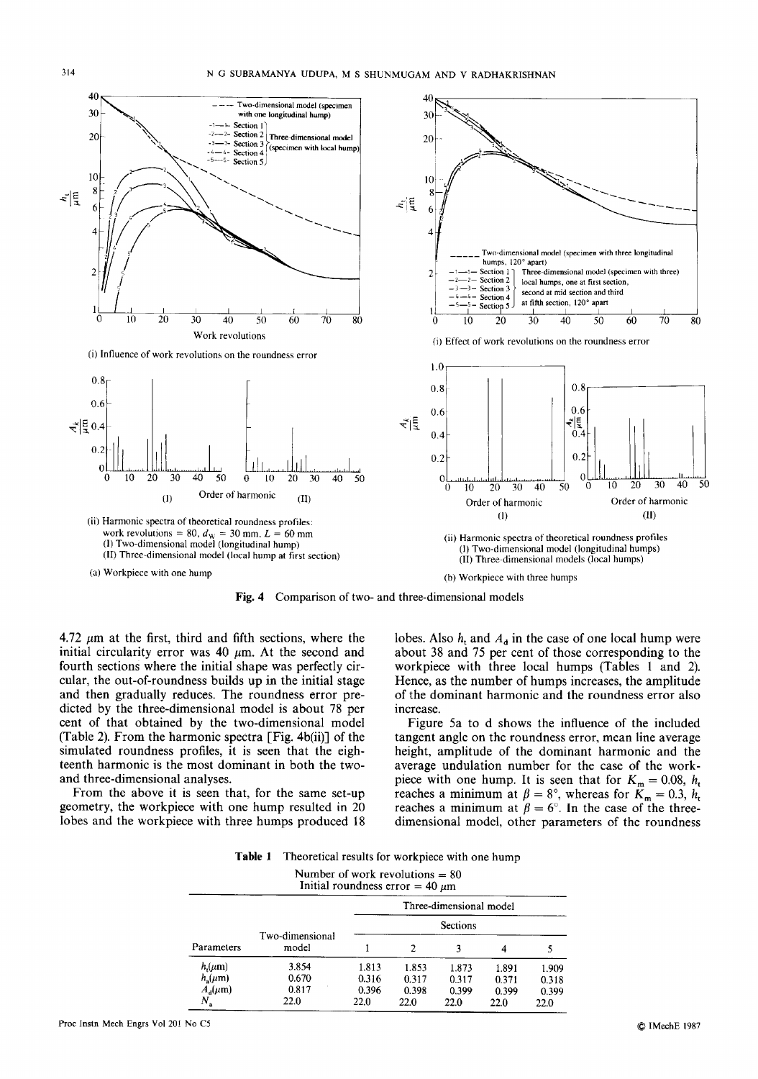

**Fig. 4** Comparison of two- and three-dimensional models

4.72  $\mu$ m at the first, third and fifth sections, where the initial circularity error was  $40 \mu m$ . At the second and fourth sections where the initial shape was perfectly circular, the out-of-roundness builds up in the initial stage and then gradually reduces. The roundness error predicted by the three-dimensional model is about 78 per cent of that obtained by the two-dimensional model (Table 2). From the harmonic spectra [Fig. 4b(ii)] of the simulated roundness profiles, it is seen that the eighteenth harmonic **is** the most dominant in both the twoand three-dimensional analyses.

From the above it is seen that, for the same set-up geometry, the workpiece with one hump resulted in 20 lobes and the workpiece with three humps produced 18 about **38** and 75 per cent of those corresponding to the workpiece with three local humps (Tables 1 and 2). Hence, as the number of humps increases, the amplitude of the dominant harmonic and the roundness error also increase.

Figure 5a to d shows the influence of the included tangent angle on the roundness error, mean line average height, amplitude of the dominant harmonic and the average undulation number for the case of the workpiece with one hump. It is seen that for  $K_m = 0.08$ ,  $h_t$ reaches a minimum at  $\beta = 8^\circ$ , whereas for  $K_m = 0.3$ ,  $h_t$ reaches a minimum at  $\beta = 6^\circ$ . In the case of the threedimensional model, other parameters of the roundness

**Table 1** Theoretical results for workpiece with one hump

Number of work revolutions = **80** 

|                                                | Number of work revolutions $= 80$<br>Initial roundness error $=$ 40 $\mu$ m                                                       |
|------------------------------------------------|-----------------------------------------------------------------------------------------------------------------------------------|
|                                                | Three-dimensional model                                                                                                           |
| Parameters<br>model                            | <u> Alexandria de la contrada de la contrada de la contrada de la contrada de la contrada de la contrada de la co</u><br>Sections |
| $h_i(\mu m)$<br>$h_s(\mu m)$<br>$A_{d}(\mu m)$ | 3.854 1.813 1.853 1.873 1.891 1.909 0.670 0.316 0.317 0.317 0.371 0.318<br>$0.396$ $0.398$ $0.399$ $0.399$ $0.399$<br>າາ ດ        |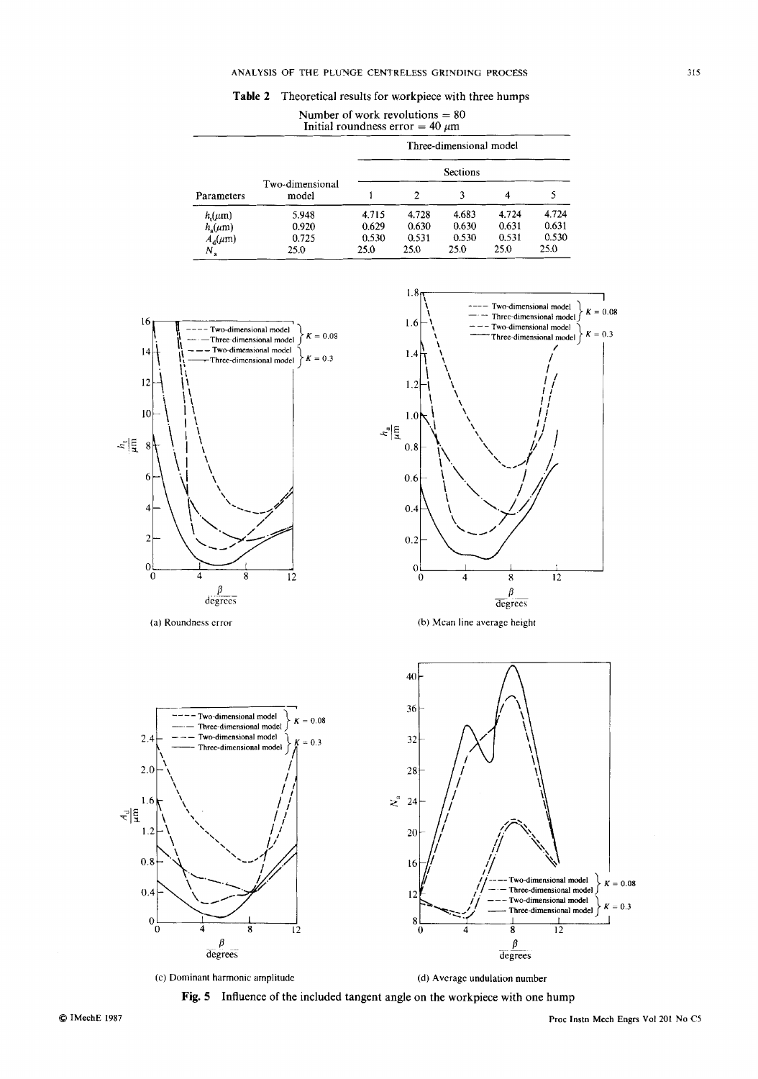#### **ANALYSIS OF THE PLUYGE CENTRELESS GRIYDING PROCESS**

|  | Table 2 Theoretical results for workpiece with three humps |  |  |  |  |  |  |
|--|------------------------------------------------------------|--|--|--|--|--|--|
|--|------------------------------------------------------------|--|--|--|--|--|--|

| THE PLUNGE CENTRELESS GRINDING PROCESS                                  |  |  |  |  |  |
|-------------------------------------------------------------------------|--|--|--|--|--|
| neoretical results for workpiece with three humps                       |  |  |  |  |  |
| Number of work revolutions = 80<br>Initial roundness error = 40 $\mu$ m |  |  |  |  |  |
|                                                                         |  |  |  |  |  |

| ANALYSIS OF THE PLUNGE CENTRELESS GRINDING PROCESS                        |
|---------------------------------------------------------------------------|
| Table 2 Theoretical results for workpiece with three humps                |
|                                                                           |
| Number of work revolutions $= 80$<br>Initial roundness error = $40 \mu m$ |
|                                                                           |
| Three-dimensional model                                                   |
|                                                                           |
| Sections                                                                  |
|                                                                           |
|                                                                           |
| 4.724 4.724<br>4.683<br>0.630<br>0.631 0.631<br>0.630<br>- 0.629          |
| $0.531$ $0.530$<br>– በ 531<br>0.530<br>0.530                              |
| 25.0<br>25.0<br>25.0 25.0<br>25.0                                         |



(c) **Dominant harmonic amplitude (d) Average undulation number** 

**Fig. 5 Influence of the included tangent angle on the workpiece with one hump**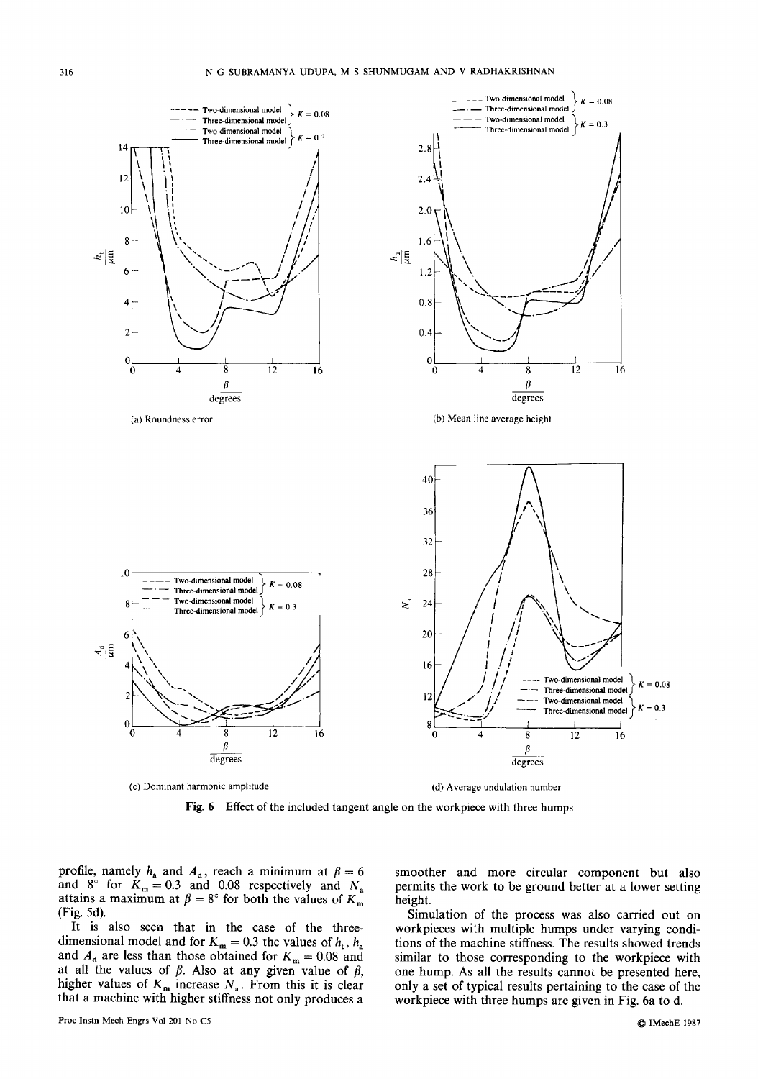

**(c) Dominant harmonic amplitude** 



**Fig. 6 Effect of the included tangent angle** on **the workpiece with three humps** 

profile, namely  $h_a$  and  $A_d$ , reach a minimum at  $\beta = 6$ and  $8^\circ$  for  $K_m = 0.3$  and 0.08 respectively and  $N_a$ attains a maximum at  $\beta = 8^{\circ}$  for both the values of  $K_m$ (Fig. 5d).

It is also seen that in the case of the three-<br>dimensional model and for  $K_m = 0.3$  the values of  $h_t$ ,  $h_a$ and  $A_d$  are less than those obtained for  $K_m = 0.08$  and at all the values of  $\beta$ . Also at any given value of  $\beta$ ,<br>higher values of  $K_m$  increase  $N_a$ . From this it is clear that a machine with higher stiffness not only produces a

smoother and more circular component but also permits the work to be ground better at a lower setting height.

higher values of  $K_m$  and  $\pi$  and  $\pi$  of  $K_m = 0.3$  and 0.08 respectively and  $N_a$  **beginning** the work to be ground better at a lower setting attains a maximum at  $\beta = 8^\circ$  for both the values of  $K_m$  **beight.** (Fig. 5d Simulation of the process was also carried out on workpieces with multiple humps under varying conditions of the machine stiffness. The results showed trends similar to those corresponding to the workpiece with one hump. As all the results cannot be presented here, only a set of typical results pertaining to the case of the workpiece with three humps are given in Fig. 6a to d.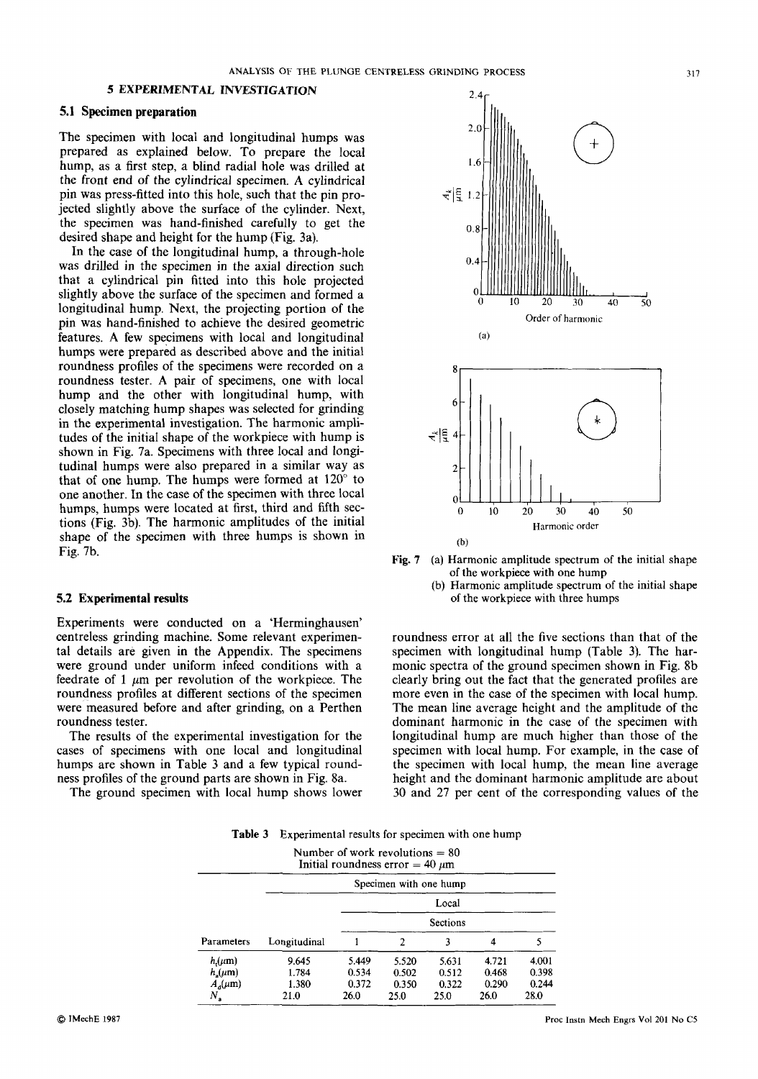# **5.1 Specimen preparation**

The specimen with local and longitudinal humps was prepared as explained below. To prepare the local hump, as a first step, a blind radial hole was drilled **at**  the front end of the cylindrical specimen. **A** cylindrical pin was press-fitted into this hole, such that the pin projected slightly above the surface of the cylinder. Next, the specimen was hand-finished carefully to get the desired shape and height for the hump (Fig. 3a).

In the case of the longitudinal hump, a through-hole was drilled in the specimen in the axial direction such that a cylindrical pin fitted into this hole projected slightly above the surface of the specimen and formed a longitudinal hump. Next, the projecting portion of the pin was hand-finished to achieve the desired geometric features. **A** few specimens with local and longitudinal humps were prepared as described above and the initial roundness profiles of the specimens were recorded on a roundness tester. A pair of specimens, one with local hump and the other with longitudinal hump, with closely matching hump shapes was selected for grinding in the experimental investigation. The harmonic amplitudes of the initial shape of the workpiece with hump is shown in Fig. 7a. Specimens with three local and fongitudinal humps were also prepared in a similar way as that of one hump. The humps were formed at  $120^\circ$  to one another. **In** the case of the specimen with three local humps, humps were located at first, third and fifth sections (Fig. 3b). The harmonic amplitudes of the initial shape of the specimen with three humps is shown in Fig. 7b.

#### **5.2 Experimental results**

Experiments were conducted on a 'Herminghausen' centreless grinding machine. Some relevant experimental details are given in the Appendix. The specimens were ground under uniform infeed conditions with a feedrate of 1  $\mu$ m per revolution of the workpiece. The roundness profiles at different sections of the specimen were measured before and after grinding, on a Perthen roundness tester.

The results of the experimental investigation for the cases of specimens with one local and longitudinal humps are shown in Table **3** and a few typical roundness profiles of the ground parts are shown in Fig. 8a.

The ground specimen with local hump shows lower





(b) Harmonic amplitude spectrum of the initial shape of the workpiece with three humps

roundness error at all the five sections than that of the specimen with longitudinal hump (Table **3).** The harmonic spectra of the ground specimen shown in Fig. 8b clearly bring out the fact that the generated profiles are more even in the case of the specimen with local hump. The mean line average height and the amplitude of the dominant harmonic in the case of the specimen with longitudinal hump are much higher than those of the specimen with local hump. For example, in the case of the specimen with local hump, the mean line average height and the dominant harmonic amplitude are about 30 and 27 per cent of the corresponding values of the

**Table 3** Experimental results for specimen with one hump

| Number of work revolutions $= 80$<br>Initial roundness error $= 40 \ \mu m$                                                                                                                           |  |
|-------------------------------------------------------------------------------------------------------------------------------------------------------------------------------------------------------|--|
| Specimen with one hump                                                                                                                                                                                |  |
| Local                                                                                                                                                                                                 |  |
| Sections                                                                                                                                                                                              |  |
| Parameters Longitudinal                                                                                                                                                                               |  |
| 5.631 4.721 4.001<br>$h_{i}(\mu m)$<br>- 5.520<br>0.512 0.468 0.398<br>$h_s(\mu m)$<br>0.502<br>$0.350$ $0.322$ $0.290$ $0.244$<br>$A_{\alpha}(\mu m)$<br>1.380<br>$\Delta$ $\Delta$ $\Delta$<br>21.0 |  |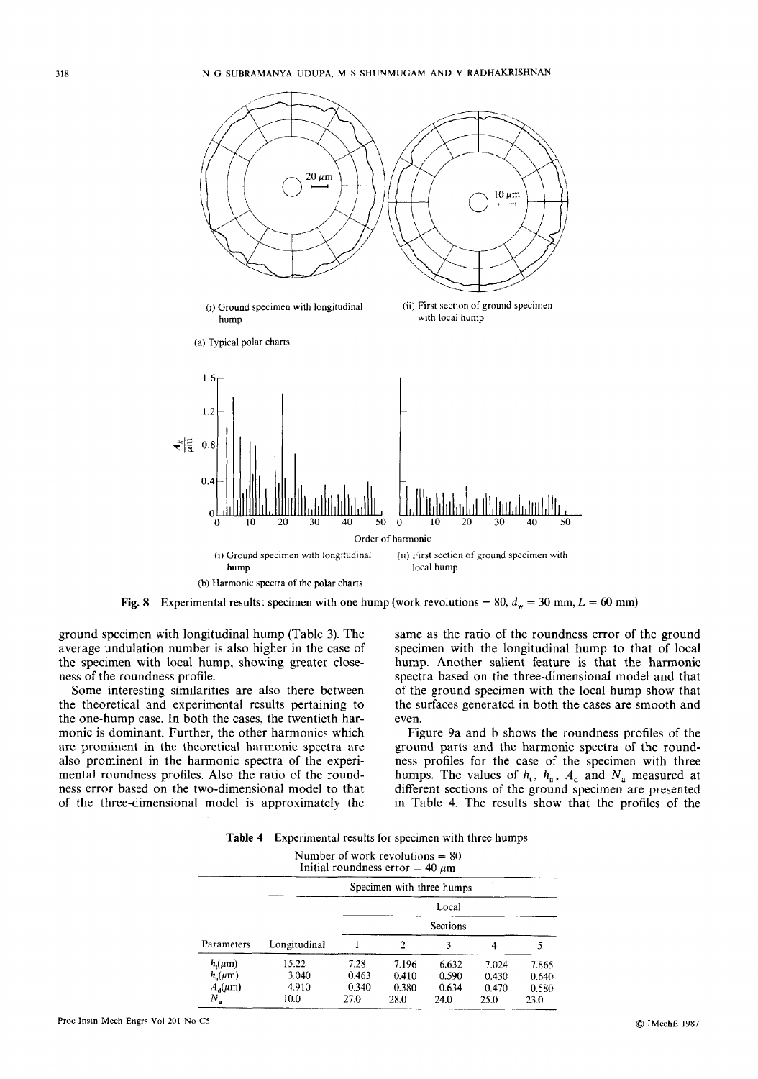

ground specimen with longitudinal hump (Table **3).** The average undulation number is also higher in the case of the specimen with local hump, showing greater closeness of the roundness profile.

Some interesting similarities are also there between the theoretical and experimental results pertaining to the one-hump case. In both the cases, the twentieth harmonic is dominant. Further, the other harmonics which are prominent in the theoretical harmonic spectra are also prominent in the harmonic spectra of the experimental roundness profiles. Also the ratio of the roundness error based on the two-dimensional model to that of the three-dimensional model is approximately the

same as the ratio of the roundness error of the ground specimen with the longitudinal hump to that of local hump. Another salient feature **is** that the harmonic spectra based on the three-dimensional model and that of the ground specimen with the local hump show that the surfaces generated in both the cases are smooth and even.

Figure 9a and b shows the roundness profiles of the ground parts and the harmonic spectra of the roundness profiles for the case of the specimen with three humps. The values of  $h_t$ ,  $h_a$ ,  $A_d$  and  $N_a$  measured at different sections of the ground specimen are presented in Table 4. The results show that the profiles of the

|  | <b>Table 4</b> Experimental results for specimen with three humps |  |  |  |  |
|--|-------------------------------------------------------------------|--|--|--|--|
|--|-------------------------------------------------------------------|--|--|--|--|

|                                                             | Number of work revolutions $= 80$<br>Initial roundness error = 40 $\mu$ m |                                                                            |
|-------------------------------------------------------------|---------------------------------------------------------------------------|----------------------------------------------------------------------------|
|                                                             |                                                                           | Specimen with three humps                                                  |
|                                                             | Local                                                                     |                                                                            |
|                                                             | Sections                                                                  |                                                                            |
| Parameters                                                  |                                                                           |                                                                            |
| $n_{\rm a}(\mu \rm{m})$<br>4.910<br>$A_{\rm d}(\mu{\rm m})$ | 7.196<br>0.410<br>0.340 0.380                                             | 6.632 7.024<br>7.865<br>$0.590$ $0.430$ $0.640$<br>$0.634$ $0.470$ $0.580$ |
| 10.0<br>27.0                                                | 28.0<br>24.0                                                              | 25.0 23.0                                                                  |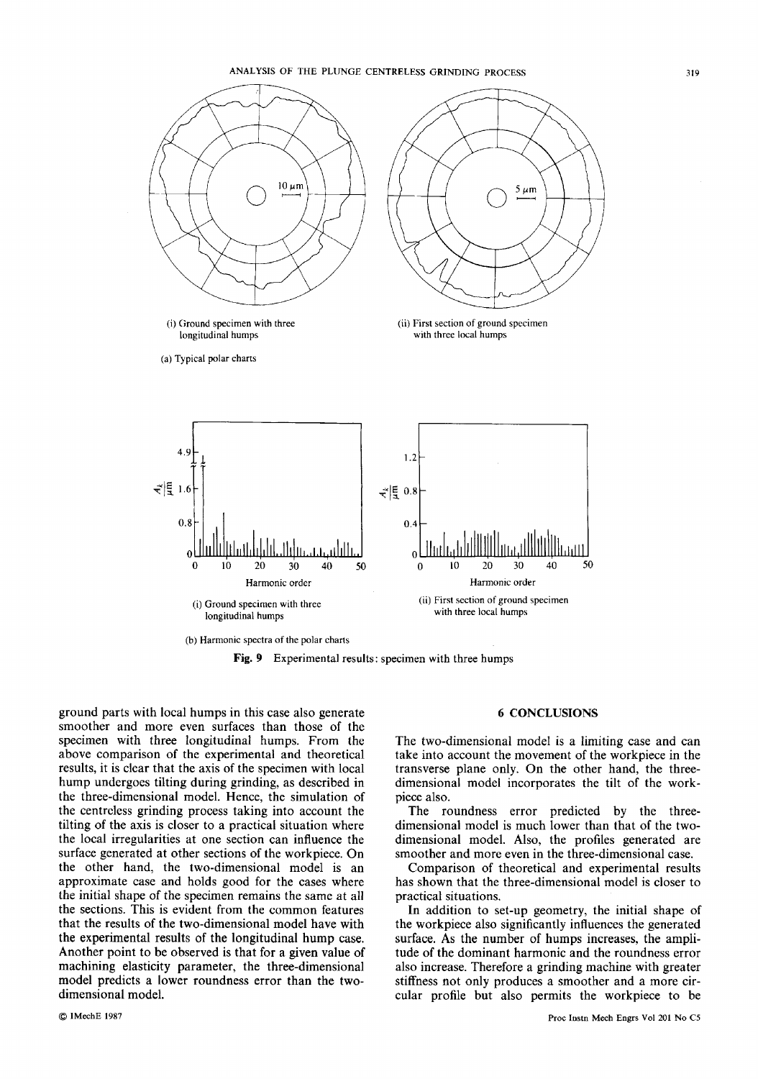

**Fig. 9 Experimental results: specimen with three humps** 

ground parts with local humps in this case also generate smoother and more even surfaces than those of the specimen with three longitudinal humps. From the above comparison of the experimental and theoretical results, it is clear that the axis of the specimen with local hump undergoes tilting during grinding, as described in the three-dimensional model. Hence, the simulation of the centrcless grinding process taking into account the tilting of the axis is closer to a practical situation where the local irregularities at one section can influence the surface generated at other sections of the workpiece. On the other hand, the two-dimensional model is an approximate case and holds good for the cases where the initial shape of the specimen remains the same at all the sections. This is evident from the common features that the results of the two-dimensional model have with the experimental results of the longitudinal hump case. Another point to be observed is that for a given value of machining elasticity parameter, the three-dimensional model predicts a lower roundness error than the twodimensional model.

# **6 CONCLUSIONS**

The two-dimensional model is a limiting case and can take into account the movement of the workpiece in the transverse plane only. On the other hand, the threedimensional model incorporates the tilt of the workpiece also.

The roundness error predicted by the threedimensional model is much lower than that of the twodimensional model. Also, the profiles generated are smoother and more even in the three-dimensional case.

Comparison of theoretical and experimental results has shown that the three-dimensional model is closer to practical situations.

appe of the specimen remains the same at all<br>
This is evident from the common features<br>
In addition to set-up geometry, the initial shape of<br>
the two-dimensional model have with<br>
the workpiece also significantly influences In addition to set-up geometry, the initial shape of the workpiece also significantly influences the generated surface. **As** the number of humps increases, the amplitude of the dominant harmonic and the roundness error also increase. Therefore a grinding machine with greater stiffness not only produces a smoother and a more circular profile but also permits the workpiece to be **Proceed as a Proceeding Broad and the roundness error inding machine with greater a smoother and a more cirmits the workpiece to be Proc Instin Mech Engrs Vol 201 No C5**